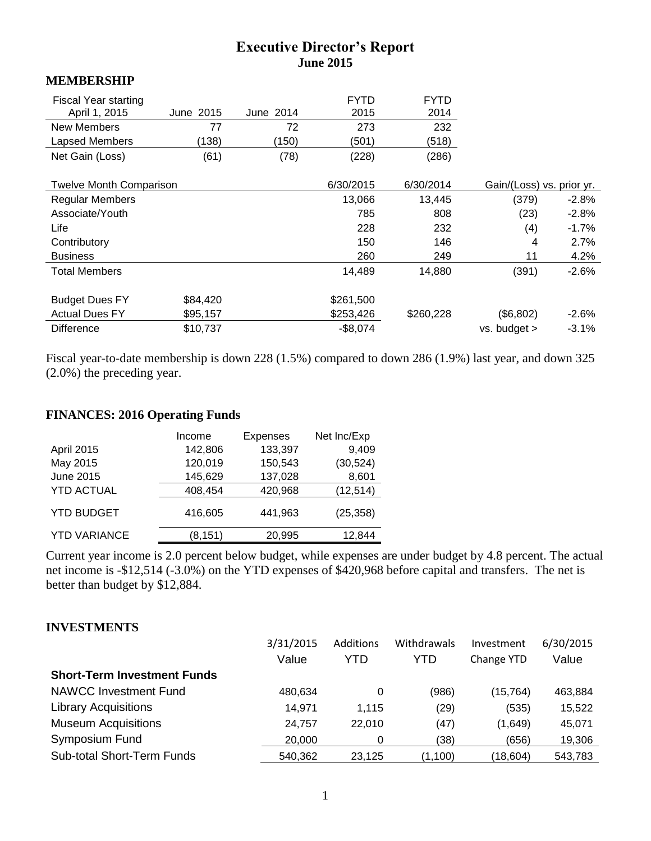# **Executive Director's Report June 2015**

#### **MEMBERSHIP**

| <b>Fiscal Year starting</b><br>April 1, 2015<br>New Members | June 2015<br>77 | June 2014<br>72 | <b>FYTD</b><br>2015<br>273 | <b>FYTD</b><br>2014<br>232 |                           |         |
|-------------------------------------------------------------|-----------------|-----------------|----------------------------|----------------------------|---------------------------|---------|
| Lapsed Members                                              | (138)           | (150)           | (501)                      | (518)                      |                           |         |
| Net Gain (Loss)                                             | (61)            | (78)            | (228)                      | (286)                      |                           |         |
|                                                             |                 |                 |                            |                            |                           |         |
| <b>Twelve Month Comparison</b>                              |                 |                 | 6/30/2015                  | 6/30/2014                  | Gain/(Loss) vs. prior yr. |         |
| <b>Regular Members</b>                                      |                 |                 | 13,066                     | 13,445                     | (379)                     | $-2.8%$ |
| Associate/Youth                                             |                 |                 | 785                        | 808                        | (23)                      | $-2.8%$ |
| Life                                                        |                 |                 | 228                        | 232                        | (4)                       | $-1.7%$ |
| Contributory                                                |                 |                 | 150                        | 146                        | 4                         | 2.7%    |
| <b>Business</b>                                             |                 |                 | 260                        | 249                        | 11                        | 4.2%    |
| <b>Total Members</b>                                        |                 |                 | 14,489                     | 14,880                     | (391)                     | $-2.6%$ |
|                                                             |                 |                 |                            |                            |                           |         |
| <b>Budget Dues FY</b>                                       | \$84,420        |                 | \$261,500                  |                            |                           |         |
| <b>Actual Dues FY</b>                                       | \$95,157        |                 | \$253,426                  | \$260,228                  | (\$6,802)                 | $-2.6%$ |
| <b>Difference</b>                                           | \$10,737        |                 | $-$8,074$                  |                            | vs. budget >              | $-3.1%$ |

Fiscal year-to-date membership is down 228 (1.5%) compared to down 286 (1.9%) last year, and down 325 (2.0%) the preceding year.

# **FINANCES: 2016 Operating Funds**

|                     | Income  | <b>Expenses</b> | Net Inc/Exp |
|---------------------|---------|-----------------|-------------|
| <b>April 2015</b>   | 142,806 | 133,397         | 9,409       |
| May 2015            | 120,019 | 150,543         | (30, 524)   |
| June 2015           | 145,629 | 137,028         | 8,601       |
| <b>YTD ACTUAL</b>   | 408,454 | 420,968         | (12, 514)   |
| <b>YTD BUDGET</b>   | 416,605 | 441,963         | (25, 358)   |
| <b>YTD VARIANCE</b> | (8,151) | 20,995          | 12,844      |

Current year income is 2.0 percent below budget, while expenses are under budget by 4.8 percent. The actual net income is -\$12,514 (-3.0%) on the YTD expenses of \$420,968 before capital and transfers. The net is better than budget by \$12,884.

# **INVESTMENTS**

|                                    | 3/31/2015 | Additions | Withdrawals | Investment | 6/30/2015 |
|------------------------------------|-----------|-----------|-------------|------------|-----------|
|                                    | Value     | YTD       | YTD         | Change YTD | Value     |
| <b>Short-Term Investment Funds</b> |           |           |             |            |           |
| <b>NAWCC Investment Fund</b>       | 480,634   | 0         | (986)       | (15, 764)  | 463,884   |
| <b>Library Acquisitions</b>        | 14,971    | 1.115     | (29)        | (535)      | 15,522    |
| <b>Museum Acquisitions</b>         | 24,757    | 22.010    | (47)        | (1,649)    | 45,071    |
| Symposium Fund                     | 20,000    | 0         | (38)        | (656)      | 19,306    |
| <b>Sub-total Short-Term Funds</b>  | 540,362   | 23,125    | (1,100)     | (18,604)   | 543,783   |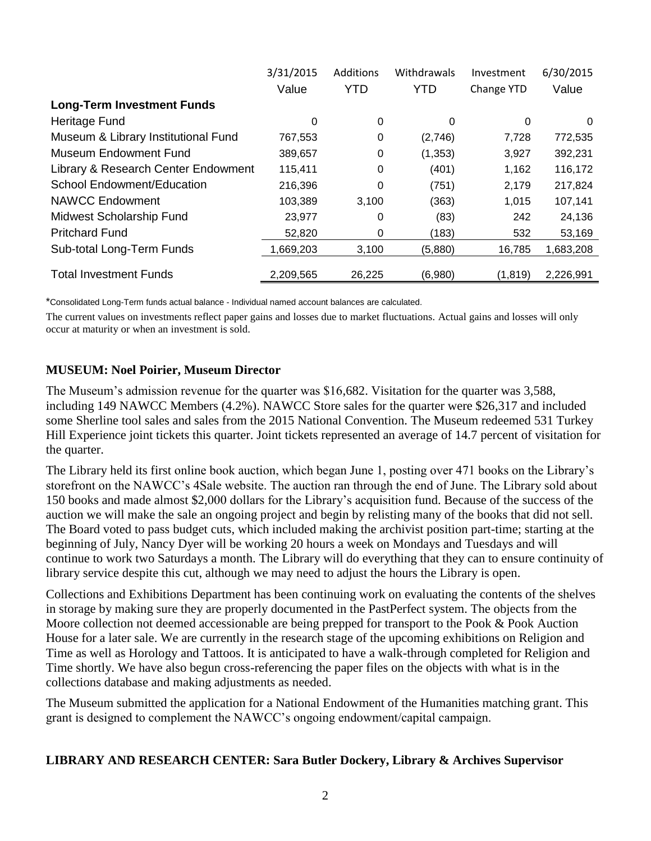|                                     | 3/31/2015 | Additions  | Withdrawals | Investment | 6/30/2015 |
|-------------------------------------|-----------|------------|-------------|------------|-----------|
|                                     | Value     | <b>YTD</b> | <b>YTD</b>  | Change YTD | Value     |
| <b>Long-Term Investment Funds</b>   |           |            |             |            |           |
| Heritage Fund                       | 0         | 0          | $\Omega$    | 0          | 0         |
| Museum & Library Institutional Fund | 767,553   | 0          | (2,746)     | 7,728      | 772,535   |
| Museum Endowment Fund               | 389,657   | 0          | (1, 353)    | 3,927      | 392,231   |
| Library & Research Center Endowment | 115,411   | 0          | (401)       | 1,162      | 116,172   |
| <b>School Endowment/Education</b>   | 216,396   | 0          | (751)       | 2,179      | 217,824   |
| <b>NAWCC Endowment</b>              | 103,389   | 3,100      | (363)       | 1,015      | 107,141   |
| Midwest Scholarship Fund            | 23,977    | 0          | (83)        | 242        | 24,136    |
| <b>Pritchard Fund</b>               | 52,820    | 0          | (183)       | 532        | 53,169    |
| Sub-total Long-Term Funds           | 1,669,203 | 3,100      | (5,880)     | 16,785     | 1,683,208 |
| <b>Total Investment Funds</b>       | 2,209,565 | 26,225     | (6,980)     | (1, 819)   | 2,226,991 |

\*Consolidated Long-Term funds actual balance - Individual named account balances are calculated.

The current values on investments reflect paper gains and losses due to market fluctuations. Actual gains and losses will only occur at maturity or when an investment is sold.

#### **MUSEUM: Noel Poirier, Museum Director**

The Museum's admission revenue for the quarter was \$16,682. Visitation for the quarter was 3,588, including 149 NAWCC Members (4.2%). NAWCC Store sales for the quarter were \$26,317 and included some Sherline tool sales and sales from the 2015 National Convention. The Museum redeemed 531 Turkey Hill Experience joint tickets this quarter. Joint tickets represented an average of 14.7 percent of visitation for the quarter.

The Library held its first online book auction, which began June 1, posting over 471 books on the Library's storefront on the NAWCC's 4Sale website. The auction ran through the end of June. The Library sold about 150 books and made almost \$2,000 dollars for the Library's acquisition fund. Because of the success of the auction we will make the sale an ongoing project and begin by relisting many of the books that did not sell. The Board voted to pass budget cuts, which included making the archivist position part-time; starting at the beginning of July, Nancy Dyer will be working 20 hours a week on Mondays and Tuesdays and will continue to work two Saturdays a month. The Library will do everything that they can to ensure continuity of library service despite this cut, although we may need to adjust the hours the Library is open.

Collections and Exhibitions Department has been continuing work on evaluating the contents of the shelves in storage by making sure they are properly documented in the PastPerfect system. The objects from the Moore collection not deemed accessionable are being prepped for transport to the Pook & Pook Auction House for a later sale. We are currently in the research stage of the upcoming exhibitions on Religion and Time as well as Horology and Tattoos. It is anticipated to have a walk-through completed for Religion and Time shortly. We have also begun cross-referencing the paper files on the objects with what is in the collections database and making adjustments as needed.

The Museum submitted the application for a National Endowment of the Humanities matching grant. This grant is designed to complement the NAWCC's ongoing endowment/capital campaign.

# **LIBRARY AND RESEARCH CENTER: Sara Butler Dockery, Library & Archives Supervisor**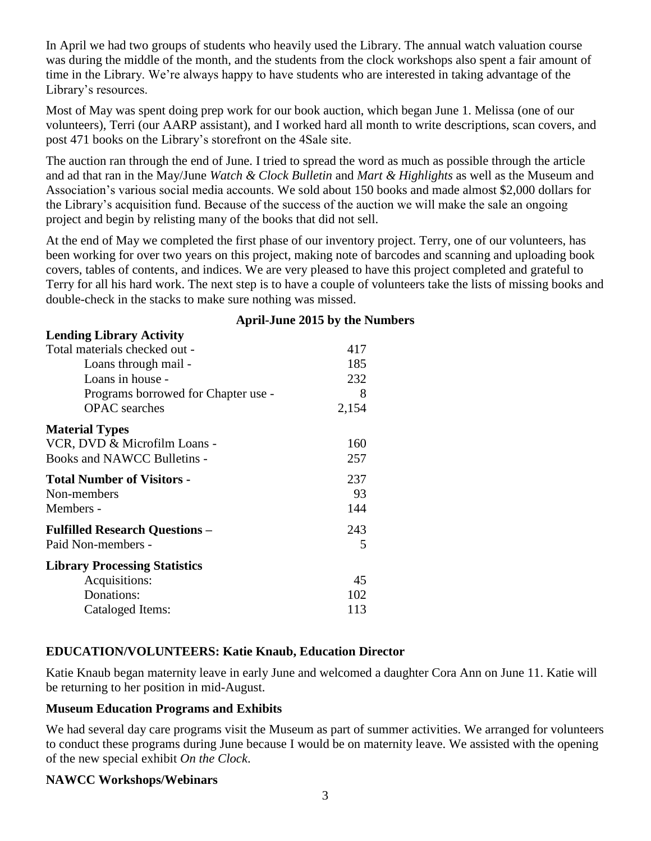In April we had two groups of students who heavily used the Library. The annual watch valuation course was during the middle of the month, and the students from the clock workshops also spent a fair amount of time in the Library. We're always happy to have students who are interested in taking advantage of the Library's resources.

Most of May was spent doing prep work for our book auction, which began June 1. Melissa (one of our volunteers), Terri (our AARP assistant), and I worked hard all month to write descriptions, scan covers, and post 471 books on the Library's storefront on the 4Sale site.

The auction ran through the end of June. I tried to spread the word as much as possible through the article and ad that ran in the May/June *Watch & Clock Bulletin* and *Mart & Highlights* as well as the Museum and Association's various social media accounts. We sold about 150 books and made almost \$2,000 dollars for the Library's acquisition fund. Because of the success of the auction we will make the sale an ongoing project and begin by relisting many of the books that did not sell.

At the end of May we completed the first phase of our inventory project. Terry, one of our volunteers, has been working for over two years on this project, making note of barcodes and scanning and uploading book covers, tables of contents, and indices. We are very pleased to have this project completed and grateful to Terry for all his hard work. The next step is to have a couple of volunteers take the lists of missing books and double-check in the stacks to make sure nothing was missed.

| <b>Lending Library Activity</b>       |       |
|---------------------------------------|-------|
| Total materials checked out -         | 417   |
| Loans through mail -                  | 185   |
| Loans in house -                      | 232   |
| Programs borrowed for Chapter use -   | 8     |
| <b>OPAC</b> searches                  | 2,154 |
| <b>Material Types</b>                 |       |
| VCR, DVD & Microfilm Loans -          | 160   |
| Books and NAWCC Bulletins -           | 257   |
| <b>Total Number of Visitors -</b>     | 237   |
| Non-members                           | 93    |
| Members -                             | 144   |
| <b>Fulfilled Research Questions -</b> | 243   |
| Paid Non-members -                    | 5     |
| <b>Library Processing Statistics</b>  |       |
| Acquisitions:                         | 45    |
| Donations:                            | 102   |
| Cataloged Items:                      | 113   |

#### **April-June 2015 by the Numbers**

# **EDUCATION/VOLUNTEERS: Katie Knaub, Education Director**

Katie Knaub began maternity leave in early June and welcomed a daughter Cora Ann on June 11. Katie will be returning to her position in mid-August.

#### **Museum Education Programs and Exhibits**

We had several day care programs visit the Museum as part of summer activities. We arranged for volunteers to conduct these programs during June because I would be on maternity leave. We assisted with the opening of the new special exhibit *On the Clock*.

#### **NAWCC Workshops/Webinars**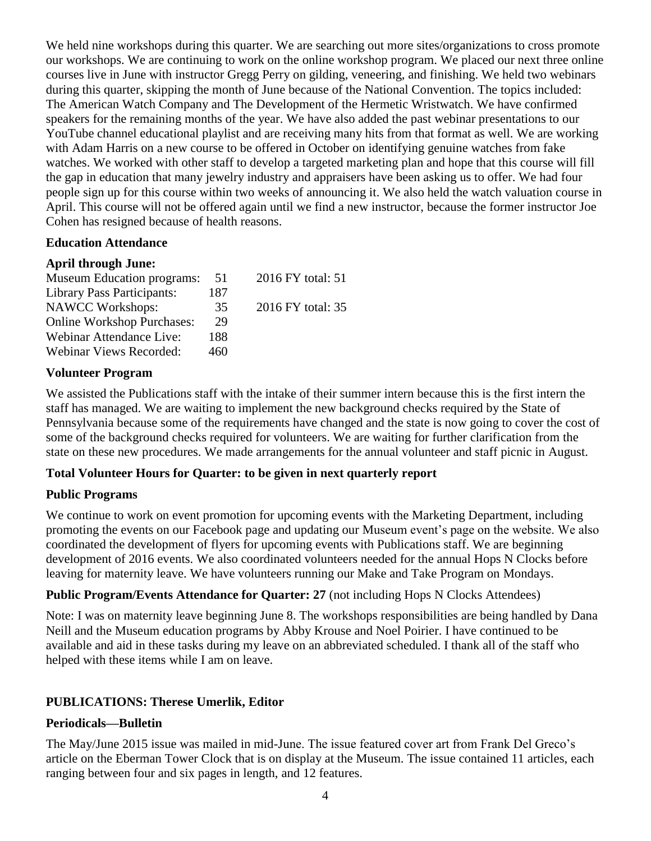We held nine workshops during this quarter. We are searching out more sites/organizations to cross promote our workshops. We are continuing to work on the online workshop program. We placed our next three online courses live in June with instructor Gregg Perry on gilding, veneering, and finishing. We held two webinars during this quarter, skipping the month of June because of the National Convention. The topics included: The American Watch Company and The Development of the Hermetic Wristwatch. We have confirmed speakers for the remaining months of the year. We have also added the past webinar presentations to our YouTube channel educational playlist and are receiving many hits from that format as well. We are working with Adam Harris on a new course to be offered in October on identifying genuine watches from fake watches. We worked with other staff to develop a targeted marketing plan and hope that this course will fill the gap in education that many jewelry industry and appraisers have been asking us to offer. We had four people sign up for this course within two weeks of announcing it. We also held the watch valuation course in April. This course will not be offered again until we find a new instructor, because the former instructor Joe Cohen has resigned because of health reasons.

#### **Education Attendance**

#### **April through June:**

| <b>Museum Education programs:</b> | 51  | 2016 FY total: 51 |
|-----------------------------------|-----|-------------------|
| <b>Library Pass Participants:</b> | 187 |                   |
| <b>NAWCC Workshops:</b>           | 35  | 2016 FY total: 35 |
| <b>Online Workshop Purchases:</b> | 29  |                   |
| Webinar Attendance Live:          | 188 |                   |
| Webinar Views Recorded:           | 460 |                   |

# **Volunteer Program**

We assisted the Publications staff with the intake of their summer intern because this is the first intern the staff has managed. We are waiting to implement the new background checks required by the State of Pennsylvania because some of the requirements have changed and the state is now going to cover the cost of some of the background checks required for volunteers. We are waiting for further clarification from the state on these new procedures. We made arrangements for the annual volunteer and staff picnic in August.

#### **Total Volunteer Hours for Quarter: to be given in next quarterly report**

# **Public Programs**

We continue to work on event promotion for upcoming events with the Marketing Department, including promoting the events on our Facebook page and updating our Museum event's page on the website. We also coordinated the development of flyers for upcoming events with Publications staff. We are beginning development of 2016 events. We also coordinated volunteers needed for the annual Hops N Clocks before leaving for maternity leave. We have volunteers running our Make and Take Program on Mondays.

# **Public Program/Events Attendance for Quarter: 27** (not including Hops N Clocks Attendees)

Note: I was on maternity leave beginning June 8. The workshops responsibilities are being handled by Dana Neill and the Museum education programs by Abby Krouse and Noel Poirier. I have continued to be available and aid in these tasks during my leave on an abbreviated scheduled. I thank all of the staff who helped with these items while I am on leave.

# **PUBLICATIONS: Therese Umerlik, Editor**

#### **Periodicals—Bulletin**

The May/June 2015 issue was mailed in mid-June. The issue featured cover art from Frank Del Greco's article on the Eberman Tower Clock that is on display at the Museum. The issue contained 11 articles, each ranging between four and six pages in length, and 12 features.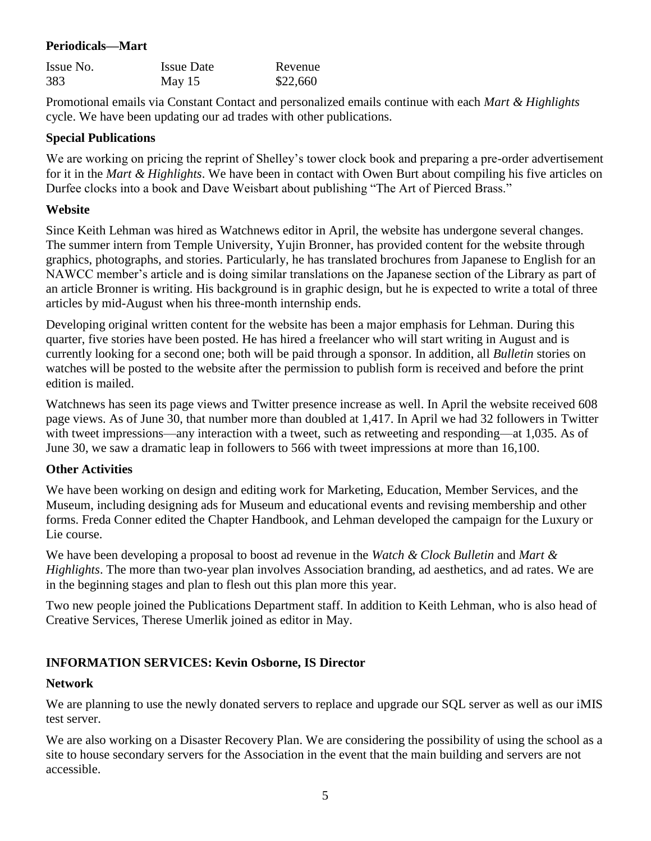### **Periodicals—Mart**

| Issue No. | <b>Issue Date</b> | Revenue  |
|-----------|-------------------|----------|
| 383       | May $15$          | \$22,660 |

Promotional emails via Constant Contact and personalized emails continue with each *Mart & Highlights* cycle. We have been updating our ad trades with other publications.

#### **Special Publications**

We are working on pricing the reprint of Shelley's tower clock book and preparing a pre-order advertisement for it in the *Mart & Highlights*. We have been in contact with Owen Burt about compiling his five articles on Durfee clocks into a book and Dave Weisbart about publishing "The Art of Pierced Brass."

#### **Website**

Since Keith Lehman was hired as Watchnews editor in April, the website has undergone several changes. The summer intern from Temple University, Yujin Bronner, has provided content for the website through graphics, photographs, and stories. Particularly, he has translated brochures from Japanese to English for an NAWCC member's article and is doing similar translations on the Japanese section of the Library as part of an article Bronner is writing. His background is in graphic design, but he is expected to write a total of three articles by mid-August when his three-month internship ends.

Developing original written content for the website has been a major emphasis for Lehman. During this quarter, five stories have been posted. He has hired a freelancer who will start writing in August and is currently looking for a second one; both will be paid through a sponsor. In addition, all *Bulletin* stories on watches will be posted to the website after the permission to publish form is received and before the print edition is mailed.

Watchnews has seen its page views and Twitter presence increase as well. In April the website received 608 page views. As of June 30, that number more than doubled at 1,417. In April we had 32 followers in Twitter with tweet impressions—any interaction with a tweet, such as retweeting and responding—at 1,035. As of June 30, we saw a dramatic leap in followers to 566 with tweet impressions at more than 16,100.

# **Other Activities**

We have been working on design and editing work for Marketing, Education, Member Services, and the Museum, including designing ads for Museum and educational events and revising membership and other forms. Freda Conner edited the Chapter Handbook, and Lehman developed the campaign for the Luxury or Lie course.

We have been developing a proposal to boost ad revenue in the *Watch & Clock Bulletin* and *Mart & Highlights*. The more than two-year plan involves Association branding, ad aesthetics, and ad rates. We are in the beginning stages and plan to flesh out this plan more this year.

Two new people joined the Publications Department staff. In addition to Keith Lehman, who is also head of Creative Services, Therese Umerlik joined as editor in May.

# **INFORMATION SERVICES: Kevin Osborne, IS Director**

#### **Network**

We are planning to use the newly donated servers to replace and upgrade our SQL server as well as our iMIS test server.

We are also working on a Disaster Recovery Plan. We are considering the possibility of using the school as a site to house secondary servers for the Association in the event that the main building and servers are not accessible.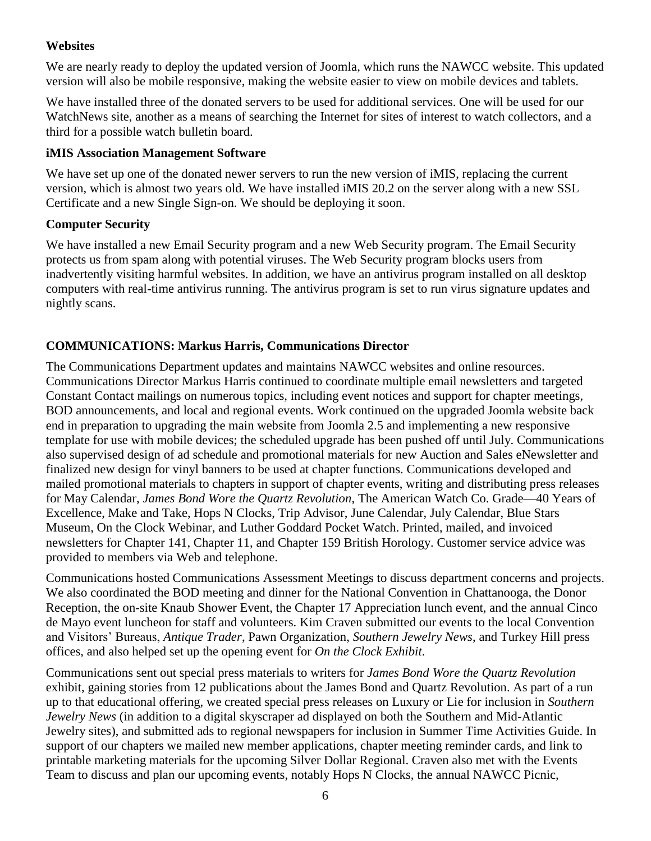# **Websites**

We are nearly ready to deploy the updated version of Joomla, which runs the NAWCC website. This updated version will also be mobile responsive, making the website easier to view on mobile devices and tablets.

We have installed three of the donated servers to be used for additional services. One will be used for our WatchNews site, another as a means of searching the Internet for sites of interest to watch collectors, and a third for a possible watch bulletin board.

# **iMIS Association Management Software**

We have set up one of the donated newer servers to run the new version of *iMIS*, replacing the current version, which is almost two years old. We have installed iMIS 20.2 on the server along with a new SSL Certificate and a new Single Sign-on. We should be deploying it soon.

# **Computer Security**

We have installed a new Email Security program and a new Web Security program. The Email Security protects us from spam along with potential viruses. The Web Security program blocks users from inadvertently visiting harmful websites. In addition, we have an antivirus program installed on all desktop computers with real-time antivirus running. The antivirus program is set to run virus signature updates and nightly scans.

# **COMMUNICATIONS: Markus Harris, Communications Director**

The Communications Department updates and maintains NAWCC websites and online resources. Communications Director Markus Harris continued to coordinate multiple email newsletters and targeted Constant Contact mailings on numerous topics, including event notices and support for chapter meetings, BOD announcements, and local and regional events. Work continued on the upgraded Joomla website back end in preparation to upgrading the main website from Joomla 2.5 and implementing a new responsive template for use with mobile devices; the scheduled upgrade has been pushed off until July. Communications also supervised design of ad schedule and promotional materials for new Auction and Sales eNewsletter and finalized new design for vinyl banners to be used at chapter functions. Communications developed and mailed promotional materials to chapters in support of chapter events, writing and distributing press releases for May Calendar, *James Bond Wore the Quartz Revolution*, The American Watch Co. Grade—40 Years of Excellence, Make and Take, Hops N Clocks, Trip Advisor, June Calendar, July Calendar, Blue Stars Museum, On the Clock Webinar, and Luther Goddard Pocket Watch. Printed, mailed, and invoiced newsletters for Chapter 141, Chapter 11, and Chapter 159 British Horology. Customer service advice was provided to members via Web and telephone.

Communications hosted Communications Assessment Meetings to discuss department concerns and projects. We also coordinated the BOD meeting and dinner for the National Convention in Chattanooga, the Donor Reception, the on-site Knaub Shower Event, the Chapter 17 Appreciation lunch event, and the annual Cinco de Mayo event luncheon for staff and volunteers. Kim Craven submitted our events to the local Convention and Visitors' Bureaus, *Antique Trader*, Pawn Organization, *Southern Jewelry News*, and Turkey Hill press offices, and also helped set up the opening event for *On the Clock Exhibit*.

Communications sent out special press materials to writers for *James Bond Wore the Quartz Revolution* exhibit, gaining stories from 12 publications about the James Bond and Quartz Revolution. As part of a run up to that educational offering, we created special press releases on Luxury or Lie for inclusion in *Southern Jewelry News* (in addition to a digital skyscraper ad displayed on both the Southern and Mid-Atlantic Jewelry sites), and submitted ads to regional newspapers for inclusion in Summer Time Activities Guide. In support of our chapters we mailed new member applications, chapter meeting reminder cards, and link to printable marketing materials for the upcoming Silver Dollar Regional. Craven also met with the Events Team to discuss and plan our upcoming events, notably Hops N Clocks, the annual NAWCC Picnic,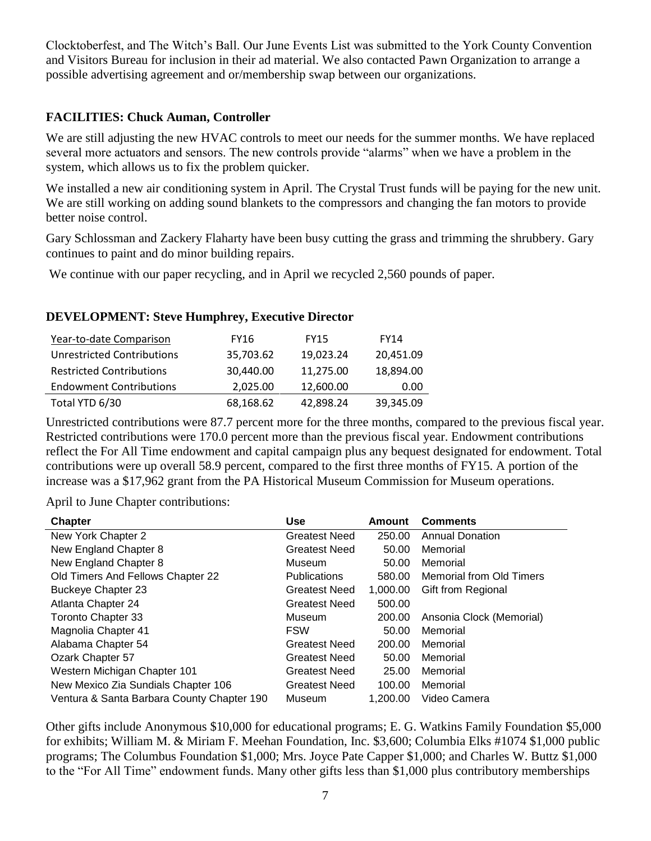Clocktoberfest, and The Witch's Ball. Our June Events List was submitted to the York County Convention and Visitors Bureau for inclusion in their ad material. We also contacted Pawn Organization to arrange a possible advertising agreement and or/membership swap between our organizations.

# **FACILITIES: Chuck Auman, Controller**

We are still adjusting the new HVAC controls to meet our needs for the summer months. We have replaced several more actuators and sensors. The new controls provide "alarms" when we have a problem in the system, which allows us to fix the problem quicker.

We installed a new air conditioning system in April. The Crystal Trust funds will be paying for the new unit. We are still working on adding sound blankets to the compressors and changing the fan motors to provide better noise control.

Gary Schlossman and Zackery Flaharty have been busy cutting the grass and trimming the shrubbery. Gary continues to paint and do minor building repairs.

We continue with our paper recycling, and in April we recycled 2,560 pounds of paper.

# **DEVELOPMENT: Steve Humphrey, Executive Director**

| Year-to-date Comparison           | <b>FY16</b> | <b>FY15</b> | <b>FY14</b> |
|-----------------------------------|-------------|-------------|-------------|
| <b>Unrestricted Contributions</b> | 35,703.62   | 19,023.24   | 20,451.09   |
| <b>Restricted Contributions</b>   | 30,440.00   | 11,275.00   | 18,894.00   |
| <b>Endowment Contributions</b>    | 2,025.00    | 12,600.00   | 0.00        |
| Total YTD 6/30                    | 68,168.62   | 42,898.24   | 39,345.09   |

Unrestricted contributions were 87.7 percent more for the three months, compared to the previous fiscal year. Restricted contributions were 170.0 percent more than the previous fiscal year. Endowment contributions reflect the For All Time endowment and capital campaign plus any bequest designated for endowment. Total contributions were up overall 58.9 percent, compared to the first three months of FY15. A portion of the increase was a \$17,962 grant from the PA Historical Museum Commission for Museum operations.

April to June Chapter contributions:

| <b>Chapter</b>                             | <b>Use</b>           | <b>Amount</b> | <b>Comments</b>          |
|--------------------------------------------|----------------------|---------------|--------------------------|
| New York Chapter 2                         | <b>Greatest Need</b> | 250.00        | <b>Annual Donation</b>   |
| New England Chapter 8                      | <b>Greatest Need</b> | 50.00         | Memorial                 |
| New England Chapter 8                      | <b>Museum</b>        | 50.00         | Memorial                 |
| Old Timers And Fellows Chapter 22          | <b>Publications</b>  | 580.00        | Memorial from Old Timers |
| <b>Buckeye Chapter 23</b>                  | <b>Greatest Need</b> | 1,000.00      | Gift from Regional       |
| Atlanta Chapter 24                         | <b>Greatest Need</b> | 500.00        |                          |
| <b>Toronto Chapter 33</b>                  | Museum               | 200.00        | Ansonia Clock (Memorial) |
| Magnolia Chapter 41                        | <b>FSW</b>           | 50.00         | Memorial                 |
| Alabama Chapter 54                         | <b>Greatest Need</b> | 200.00        | Memorial                 |
| Ozark Chapter 57                           | <b>Greatest Need</b> | 50.00         | Memorial                 |
| Western Michigan Chapter 101               | <b>Greatest Need</b> | 25.00         | Memorial                 |
| New Mexico Zia Sundials Chapter 106        | <b>Greatest Need</b> | 100.00        | Memorial                 |
| Ventura & Santa Barbara County Chapter 190 | Museum               | 1.200.00      | Video Camera             |

Other gifts include Anonymous \$10,000 for educational programs; E. G. Watkins Family Foundation \$5,000 for exhibits; William M. & Miriam F. Meehan Foundation, Inc. \$3,600; Columbia Elks #1074 \$1,000 public programs; The Columbus Foundation \$1,000; Mrs. Joyce Pate Capper \$1,000; and Charles W. Buttz \$1,000 to the "For All Time" endowment funds. Many other gifts less than \$1,000 plus contributory memberships